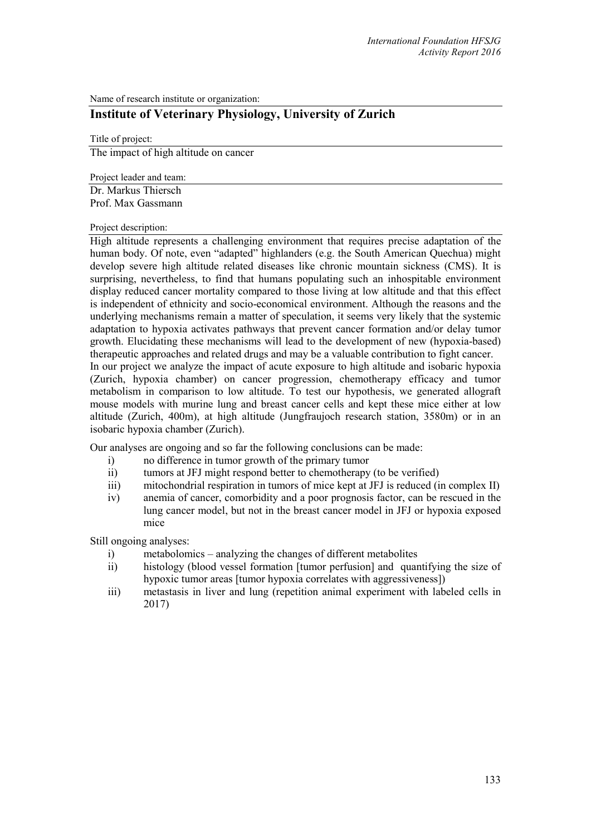Name of research institute or organization:

## **Institute of Veterinary Physiology, University of Zurich**

Title of project: The impact of high altitude on cancer

Project leader and team:

Dr. Markus Thiersch Prof. Max Gassmann

Project description:

High altitude represents a challenging environment that requires precise adaptation of the human body. Of note, even "adapted" highlanders (e.g. the South American Quechua) might develop severe high altitude related diseases like chronic mountain sickness (CMS). It is surprising, nevertheless, to find that humans populating such an inhospitable environment display reduced cancer mortality compared to those living at low altitude and that this effect is independent of ethnicity and socio-economical environment. Although the reasons and the underlying mechanisms remain a matter of speculation, it seems very likely that the systemic adaptation to hypoxia activates pathways that prevent cancer formation and/or delay tumor growth. Elucidating these mechanisms will lead to the development of new (hypoxia-based) therapeutic approaches and related drugs and may be a valuable contribution to fight cancer. In our project we analyze the impact of acute exposure to high altitude and isobaric hypoxia (Zurich, hypoxia chamber) on cancer progression, chemotherapy efficacy and tumor metabolism in comparison to low altitude. To test our hypothesis, we generated allograft mouse models with murine lung and breast cancer cells and kept these mice either at low altitude (Zurich, 400m), at high altitude (Jungfraujoch research station, 3580m) or in an isobaric hypoxia chamber (Zurich).

Our analyses are ongoing and so far the following conclusions can be made:

- i) no difference in tumor growth of the primary tumor
- ii) tumors at JFJ might respond better to chemotherapy (to be verified)
- iii) mitochondrial respiration in tumors of mice kept at JFJ is reduced (in complex II)
- iv) anemia of cancer, comorbidity and a poor prognosis factor, can be rescued in the lung cancer model, but not in the breast cancer model in JFJ or hypoxia exposed mice

Still ongoing analyses:

- i) metabolomics analyzing the changes of different metabolites
- ii) histology (blood vessel formation [tumor perfusion] and quantifying the size of hypoxic tumor areas [tumor hypoxia correlates with aggressiveness])
- iii) metastasis in liver and lung (repetition animal experiment with labeled cells in 2017)